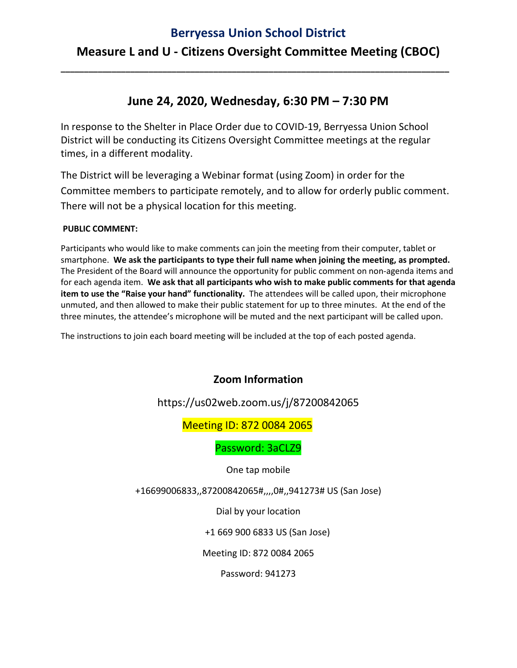#### **Berryessa Union School District**

## **Measure L and U - Citizens Oversight Committee Meeting (CBOC)**

**\_\_\_\_\_\_\_\_\_\_\_\_\_\_\_\_\_\_\_\_\_\_\_\_\_\_\_\_\_\_\_\_\_\_\_\_\_\_\_\_\_\_\_\_\_\_\_\_\_\_\_\_\_\_\_\_\_\_\_\_\_\_\_\_\_\_\_\_\_\_\_\_\_\_\_\_\_\_\_\_\_\_\_\_**

### **June 24, 2020, Wednesday, 6:30 PM – 7:30 PM**

In response to the Shelter in Place Order due to COVID-19, Berryessa Union School District will be conducting its Citizens Oversight Committee meetings at the regular times, in a different modality.

The District will be leveraging a Webinar format (using Zoom) in order for the Committee members to participate remotely, and to allow for orderly public comment. There will not be a physical location for this meeting.

#### **PUBLIC COMMENT:**

Participants who would like to make comments can join the meeting from their computer, tablet or smartphone. **We ask the participants to type their full name when joining the meeting, as prompted.** The President of the Board will announce the opportunity for public comment on non-agenda items and for each agenda item. **We ask that all participants who wish to make public comments for that agenda item to use the "Raise your hand" functionality.** The attendees will be called upon, their microphone unmuted, and then allowed to make their public statement for up to three minutes. At the end of the three minutes, the attendee's microphone will be muted and the next participant will be called upon.

The instructions to join each board meeting will be included at the top of each posted agenda.

#### **Zoom Information**

https://us02web.zoom.us/j/87200842065

#### Meeting ID: 872 0084 2065

Password: 3aCLZ9

One tap mobile

+16699006833,,87200842065#,,,,0#,,941273# US (San Jose)

Dial by your location

+1 669 900 6833 US (San Jose)

Meeting ID: 872 0084 2065

Password: 941273